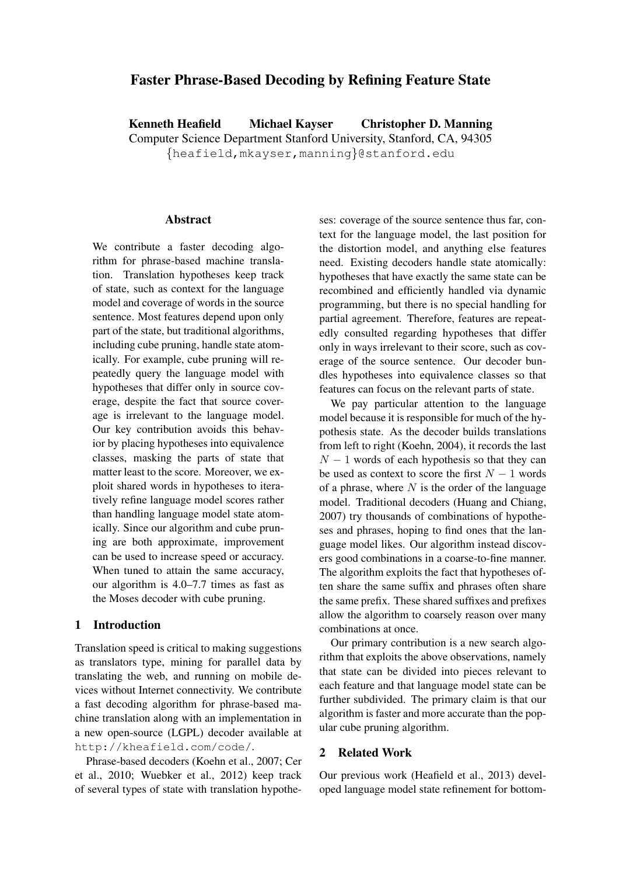# Faster Phrase-Based Decoding by Refining Feature State

Kenneth Heafield Michael Kayser Christopher D. Manning Computer Science Department Stanford University, Stanford, CA, 94305 {heafield,mkayser,manning}@stanford.edu

#### **Abstract**

We contribute a faster decoding algorithm for phrase-based machine translation. Translation hypotheses keep track of state, such as context for the language model and coverage of words in the source sentence. Most features depend upon only part of the state, but traditional algorithms, including cube pruning, handle state atomically. For example, cube pruning will repeatedly query the language model with hypotheses that differ only in source coverage, despite the fact that source coverage is irrelevant to the language model. Our key contribution avoids this behavior by placing hypotheses into equivalence classes, masking the parts of state that matter least to the score. Moreover, we exploit shared words in hypotheses to iteratively refine language model scores rather than handling language model state atomically. Since our algorithm and cube pruning are both approximate, improvement can be used to increase speed or accuracy. When tuned to attain the same accuracy, our algorithm is 4.0–7.7 times as fast as the Moses decoder with cube pruning.

### 1 Introduction

Translation speed is critical to making suggestions as translators type, mining for parallel data by translating the web, and running on mobile devices without Internet connectivity. We contribute a fast decoding algorithm for phrase-based machine translation along with an implementation in a new open-source (LGPL) decoder available at http://kheafield.com/code/.

Phrase-based decoders (Koehn et al., 2007; Cer et al., 2010; Wuebker et al., 2012) keep track of several types of state with translation hypotheses: coverage of the source sentence thus far, context for the language model, the last position for the distortion model, and anything else features need. Existing decoders handle state atomically: hypotheses that have exactly the same state can be recombined and efficiently handled via dynamic programming, but there is no special handling for partial agreement. Therefore, features are repeatedly consulted regarding hypotheses that differ only in ways irrelevant to their score, such as coverage of the source sentence. Our decoder bundles hypotheses into equivalence classes so that features can focus on the relevant parts of state.

We pay particular attention to the language model because it is responsible for much of the hypothesis state. As the decoder builds translations from left to right (Koehn, 2004), it records the last  $N - 1$  words of each hypothesis so that they can be used as context to score the first  $N - 1$  words of a phrase, where  $N$  is the order of the language model. Traditional decoders (Huang and Chiang, 2007) try thousands of combinations of hypotheses and phrases, hoping to find ones that the language model likes. Our algorithm instead discovers good combinations in a coarse-to-fine manner. The algorithm exploits the fact that hypotheses often share the same suffix and phrases often share the same prefix. These shared suffixes and prefixes allow the algorithm to coarsely reason over many combinations at once.

Our primary contribution is a new search algorithm that exploits the above observations, namely that state can be divided into pieces relevant to each feature and that language model state can be further subdivided. The primary claim is that our algorithm is faster and more accurate than the popular cube pruning algorithm.

### 2 Related Work

Our previous work (Heafield et al., 2013) developed language model state refinement for bottom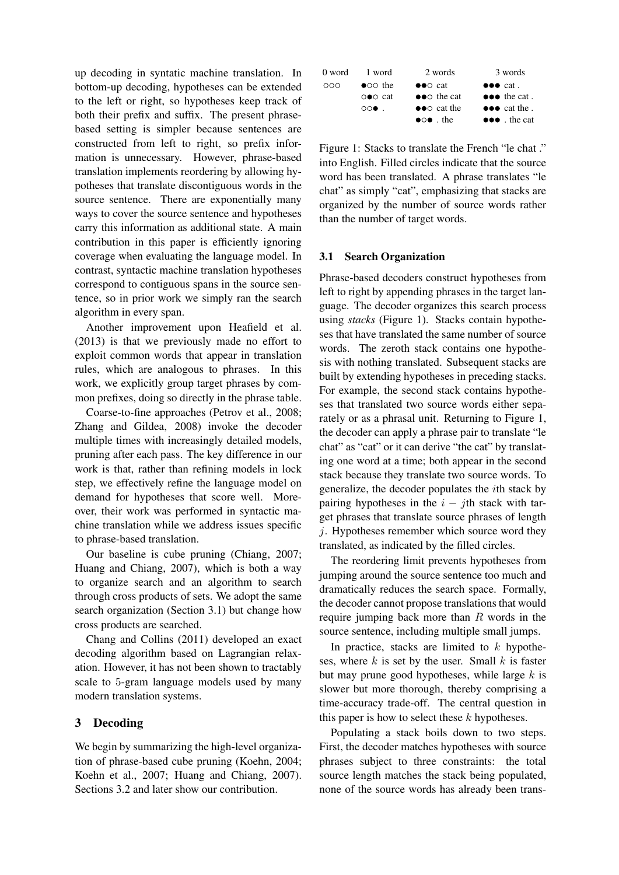up decoding in syntatic machine translation. In bottom-up decoding, hypotheses can be extended to the left or right, so hypotheses keep track of both their prefix and suffix. The present phrasebased setting is simpler because sentences are constructed from left to right, so prefix information is unnecessary. However, phrase-based translation implements reordering by allowing hypotheses that translate discontiguous words in the source sentence. There are exponentially many ways to cover the source sentence and hypotheses carry this information as additional state. A main contribution in this paper is efficiently ignoring coverage when evaluating the language model. In contrast, syntactic machine translation hypotheses correspond to contiguous spans in the source sentence, so in prior work we simply ran the search algorithm in every span.

Another improvement upon Heafield et al. (2013) is that we previously made no effort to exploit common words that appear in translation rules, which are analogous to phrases. In this work, we explicitly group target phrases by common prefixes, doing so directly in the phrase table.

Coarse-to-fine approaches (Petrov et al., 2008; Zhang and Gildea, 2008) invoke the decoder multiple times with increasingly detailed models, pruning after each pass. The key difference in our work is that, rather than refining models in lock step, we effectively refine the language model on demand for hypotheses that score well. Moreover, their work was performed in syntactic machine translation while we address issues specific to phrase-based translation.

Our baseline is cube pruning (Chiang, 2007; Huang and Chiang, 2007), which is both a way to organize search and an algorithm to search through cross products of sets. We adopt the same search organization (Section 3.1) but change how cross products are searched.

Chang and Collins (2011) developed an exact decoding algorithm based on Lagrangian relaxation. However, it has not been shown to tractably scale to 5-gram language models used by many modern translation systems.

### 3 Decoding

We begin by summarizing the high-level organization of phrase-based cube pruning (Koehn, 2004; Koehn et al., 2007; Huang and Chiang, 2007). Sections 3.2 and later show our contribution.

| 0 word | 1 word                           | 2 words                                 | 3 words                             |
|--------|----------------------------------|-----------------------------------------|-------------------------------------|
| 000    | $\bullet$ oo the                 | $\bullet \bullet \circ \text{cat}$      | $\bullet \bullet \bullet$ cat.      |
|        | $\circ \bullet \circ \text{cat}$ | $\bullet \bullet \circ \bullet$ the cat | $\bullet \bullet \bullet$ the cat.  |
|        | $\circ \circ \bullet$ .          | $\bullet \bullet \circ$ cat the         | $\bullet \bullet \bullet$ cat the . |
|        |                                  | $\bullet \circ \bullet$ the             | $\bullet \bullet \bullet$ the cat   |

Figure 1: Stacks to translate the French "le chat ." into English. Filled circles indicate that the source word has been translated. A phrase translates "le chat" as simply "cat", emphasizing that stacks are organized by the number of source words rather than the number of target words.

### 3.1 Search Organization

Phrase-based decoders construct hypotheses from left to right by appending phrases in the target language. The decoder organizes this search process using *stacks* (Figure 1). Stacks contain hypotheses that have translated the same number of source words. The zeroth stack contains one hypothesis with nothing translated. Subsequent stacks are built by extending hypotheses in preceding stacks. For example, the second stack contains hypotheses that translated two source words either separately or as a phrasal unit. Returning to Figure 1, the decoder can apply a phrase pair to translate "le chat" as "cat" or it can derive "the cat" by translating one word at a time; both appear in the second stack because they translate two source words. To generalize, the decoder populates the ith stack by pairing hypotheses in the  $i - j$ th stack with target phrases that translate source phrases of length j. Hypotheses remember which source word they translated, as indicated by the filled circles.

The reordering limit prevents hypotheses from jumping around the source sentence too much and dramatically reduces the search space. Formally, the decoder cannot propose translations that would require jumping back more than  $R$  words in the source sentence, including multiple small jumps.

In practice, stacks are limited to  $k$  hypotheses, where  $k$  is set by the user. Small  $k$  is faster but may prune good hypotheses, while large  $k$  is slower but more thorough, thereby comprising a time-accuracy trade-off. The central question in this paper is how to select these  $k$  hypotheses.

Populating a stack boils down to two steps. First, the decoder matches hypotheses with source phrases subject to three constraints: the total source length matches the stack being populated, none of the source words has already been trans-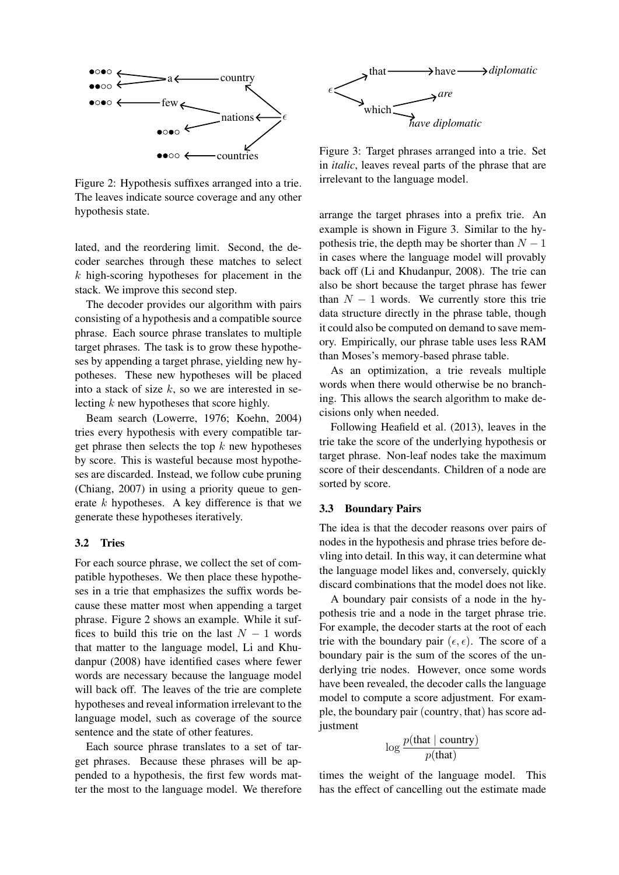

Figure 2: Hypothesis suffixes arranged into a trie. The leaves indicate source coverage and any other hypothesis state.

lated, and the reordering limit. Second, the decoder searches through these matches to select  $k$  high-scoring hypotheses for placement in the stack. We improve this second step.

The decoder provides our algorithm with pairs consisting of a hypothesis and a compatible source phrase. Each source phrase translates to multiple target phrases. The task is to grow these hypotheses by appending a target phrase, yielding new hypotheses. These new hypotheses will be placed into a stack of size  $k$ , so we are interested in selecting  $k$  new hypotheses that score highly.

Beam search (Lowerre, 1976; Koehn, 2004) tries every hypothesis with every compatible target phrase then selects the top  $k$  new hypotheses by score. This is wasteful because most hypotheses are discarded. Instead, we follow cube pruning (Chiang, 2007) in using a priority queue to generate  $k$  hypotheses. A key difference is that we generate these hypotheses iteratively.

#### 3.2 Tries

For each source phrase, we collect the set of compatible hypotheses. We then place these hypotheses in a trie that emphasizes the suffix words because these matter most when appending a target phrase. Figure 2 shows an example. While it suffices to build this trie on the last  $N - 1$  words that matter to the language model, Li and Khudanpur (2008) have identified cases where fewer words are necessary because the language model will back off. The leaves of the trie are complete hypotheses and reveal information irrelevant to the language model, such as coverage of the source sentence and the state of other features.

Each source phrase translates to a set of target phrases. Because these phrases will be appended to a hypothesis, the first few words matter the most to the language model. We therefore



Figure 3: Target phrases arranged into a trie. Set in *italic*, leaves reveal parts of the phrase that are irrelevant to the language model.

arrange the target phrases into a prefix trie. An example is shown in Figure 3. Similar to the hypothesis trie, the depth may be shorter than  $N - 1$ in cases where the language model will provably back off (Li and Khudanpur, 2008). The trie can also be short because the target phrase has fewer than  $N - 1$  words. We currently store this trie data structure directly in the phrase table, though it could also be computed on demand to save memory. Empirically, our phrase table uses less RAM than Moses's memory-based phrase table.

As an optimization, a trie reveals multiple words when there would otherwise be no branching. This allows the search algorithm to make decisions only when needed.

Following Heafield et al. (2013), leaves in the trie take the score of the underlying hypothesis or target phrase. Non-leaf nodes take the maximum score of their descendants. Children of a node are sorted by score.

### 3.3 Boundary Pairs

The idea is that the decoder reasons over pairs of nodes in the hypothesis and phrase tries before devling into detail. In this way, it can determine what the language model likes and, conversely, quickly discard combinations that the model does not like.

A boundary pair consists of a node in the hypothesis trie and a node in the target phrase trie. For example, the decoder starts at the root of each trie with the boundary pair  $(\epsilon, \epsilon)$ . The score of a boundary pair is the sum of the scores of the underlying trie nodes. However, once some words have been revealed, the decoder calls the language model to compute a score adjustment. For example, the boundary pair (country, that) has score adjustment

$$
\log \frac{p(\text{that } | \text{ country})}{p(\text{that})}
$$

times the weight of the language model. This has the effect of cancelling out the estimate made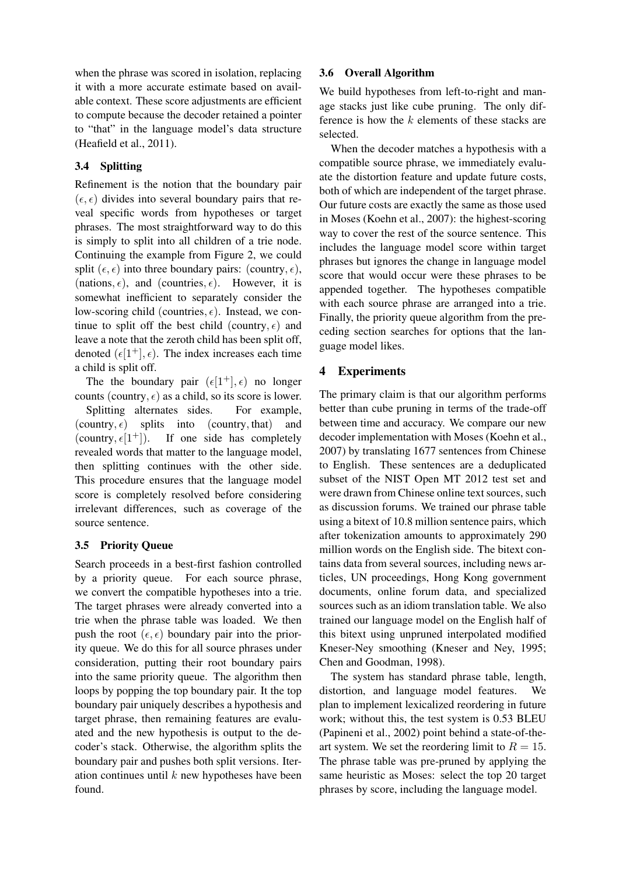when the phrase was scored in isolation, replacing it with a more accurate estimate based on available context. These score adjustments are efficient to compute because the decoder retained a pointer to "that" in the language model's data structure (Heafield et al., 2011).

## 3.4 Splitting

Refinement is the notion that the boundary pair  $(\epsilon, \epsilon)$  divides into several boundary pairs that reveal specific words from hypotheses or target phrases. The most straightforward way to do this is simply to split into all children of a trie node. Continuing the example from Figure 2, we could split  $(\epsilon, \epsilon)$  into three boundary pairs: (country,  $\epsilon$ ), (nations,  $\epsilon$ ), and (countries,  $\epsilon$ ). However, it is somewhat inefficient to separately consider the low-scoring child (countries,  $\epsilon$ ). Instead, we continue to split off the best child (country,  $\epsilon$ ) and leave a note that the zeroth child has been split off, denoted  $(\epsilon[1^+], \epsilon)$ . The index increases each time a child is split off.

The the boundary pair  $(\epsilon[1^+], \epsilon)$  no longer counts (country,  $\epsilon$ ) as a child, so its score is lower.

Splitting alternates sides. For example, (country,  $\epsilon$ ) splits into (country, that) and (country,  $\epsilon[1^+]$ ). If one side has completely revealed words that matter to the language model, then splitting continues with the other side. This procedure ensures that the language model score is completely resolved before considering irrelevant differences, such as coverage of the source sentence.

## 3.5 Priority Queue

Search proceeds in a best-first fashion controlled by a priority queue. For each source phrase, we convert the compatible hypotheses into a trie. The target phrases were already converted into a trie when the phrase table was loaded. We then push the root  $(\epsilon, \epsilon)$  boundary pair into the priority queue. We do this for all source phrases under consideration, putting their root boundary pairs into the same priority queue. The algorithm then loops by popping the top boundary pair. It the top boundary pair uniquely describes a hypothesis and target phrase, then remaining features are evaluated and the new hypothesis is output to the decoder's stack. Otherwise, the algorithm splits the boundary pair and pushes both split versions. Iteration continues until  $k$  new hypotheses have been found.

## 3.6 Overall Algorithm

We build hypotheses from left-to-right and manage stacks just like cube pruning. The only difference is how the  $k$  elements of these stacks are selected.

When the decoder matches a hypothesis with a compatible source phrase, we immediately evaluate the distortion feature and update future costs, both of which are independent of the target phrase. Our future costs are exactly the same as those used in Moses (Koehn et al., 2007): the highest-scoring way to cover the rest of the source sentence. This includes the language model score within target phrases but ignores the change in language model score that would occur were these phrases to be appended together. The hypotheses compatible with each source phrase are arranged into a trie. Finally, the priority queue algorithm from the preceding section searches for options that the language model likes.

# 4 Experiments

The primary claim is that our algorithm performs better than cube pruning in terms of the trade-off between time and accuracy. We compare our new decoder implementation with Moses (Koehn et al., 2007) by translating 1677 sentences from Chinese to English. These sentences are a deduplicated subset of the NIST Open MT 2012 test set and were drawn from Chinese online text sources, such as discussion forums. We trained our phrase table using a bitext of 10.8 million sentence pairs, which after tokenization amounts to approximately 290 million words on the English side. The bitext contains data from several sources, including news articles, UN proceedings, Hong Kong government documents, online forum data, and specialized sources such as an idiom translation table. We also trained our language model on the English half of this bitext using unpruned interpolated modified Kneser-Ney smoothing (Kneser and Ney, 1995; Chen and Goodman, 1998).

The system has standard phrase table, length, distortion, and language model features. plan to implement lexicalized reordering in future work; without this, the test system is 0.53 BLEU (Papineni et al., 2002) point behind a state-of-theart system. We set the reordering limit to  $R = 15$ . The phrase table was pre-pruned by applying the same heuristic as Moses: select the top 20 target phrases by score, including the language model.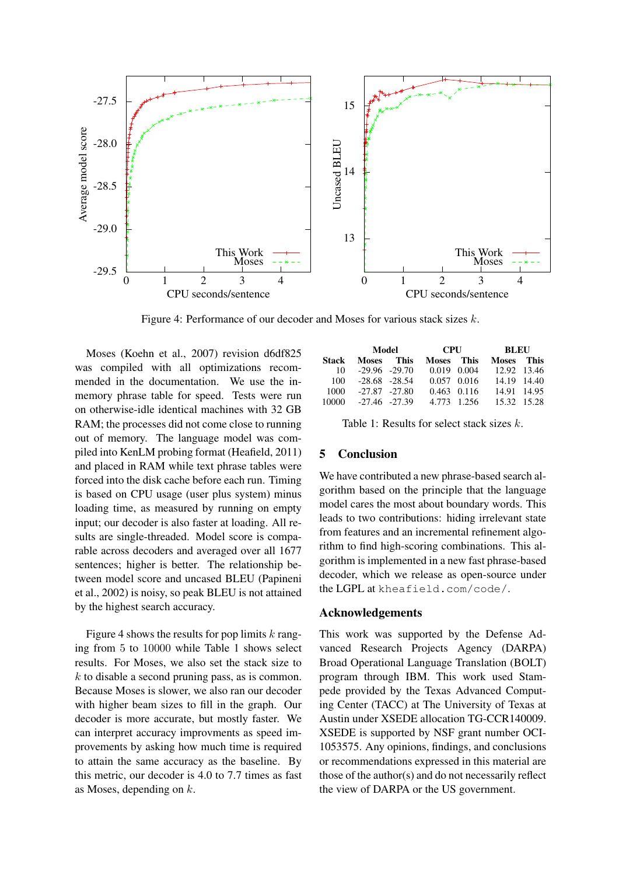

Figure 4: Performance of our decoder and Moses for various stack sizes k.

Moses (Koehn et al., 2007) revision d6df825 was compiled with all optimizations recommended in the documentation. We use the inmemory phrase table for speed. Tests were run on otherwise-idle identical machines with 32 GB RAM; the processes did not come close to running out of memory. The language model was compiled into KenLM probing format (Heafield, 2011) and placed in RAM while text phrase tables were forced into the disk cache before each run. Timing is based on CPU usage (user plus system) minus loading time, as measured by running on empty input; our decoder is also faster at loading. All results are single-threaded. Model score is comparable across decoders and averaged over all 1677 sentences; higher is better. The relationship between model score and uncased BLEU (Papineni et al., 2002) is noisy, so peak BLEU is not attained by the highest search accuracy.

Figure 4 shows the results for pop limits  $k$  ranging from 5 to 10000 while Table 1 shows select results. For Moses, we also set the stack size to  $k$  to disable a second pruning pass, as is common. Because Moses is slower, we also ran our decoder with higher beam sizes to fill in the graph. Our decoder is more accurate, but mostly faster. We can interpret accuracy improvments as speed improvements by asking how much time is required to attain the same accuracy as the baseline. By this metric, our decoder is 4.0 to 7.7 times as fast as Moses, depending on  $k$ .

|       | Model                |  | CPU        |                 | BLEU        |  |
|-------|----------------------|--|------------|-----------------|-------------|--|
| Stack | Moses This           |  | Moses This |                 | Moses This  |  |
|       | $10 - 29.96 - 29.70$ |  |            | $0.019$ $0.004$ | 12.92 13.46 |  |
|       | $100 -28.68 -28.54$  |  |            | $0.057$ 0.016   | 14.19 14.40 |  |
| 1000  | $-27.87$ $-27.80$    |  |            | $0.463$ $0.116$ | 14.91 14.95 |  |
|       | 10000 -27.46 -27.39  |  |            | 4.773 1.256     | 15.32 15.28 |  |

Table 1: Results for select stack sizes  $k$ .

## 5 Conclusion

We have contributed a new phrase-based search algorithm based on the principle that the language model cares the most about boundary words. This leads to two contributions: hiding irrelevant state from features and an incremental refinement algorithm to find high-scoring combinations. This algorithm is implemented in a new fast phrase-based decoder, which we release as open-source under the LGPL at kheafield.com/code/.

### Acknowledgements

This work was supported by the Defense Advanced Research Projects Agency (DARPA) Broad Operational Language Translation (BOLT) program through IBM. This work used Stampede provided by the Texas Advanced Computing Center (TACC) at The University of Texas at Austin under XSEDE allocation TG-CCR140009. XSEDE is supported by NSF grant number OCI-1053575. Any opinions, findings, and conclusions or recommendations expressed in this material are those of the author(s) and do not necessarily reflect the view of DARPA or the US government.